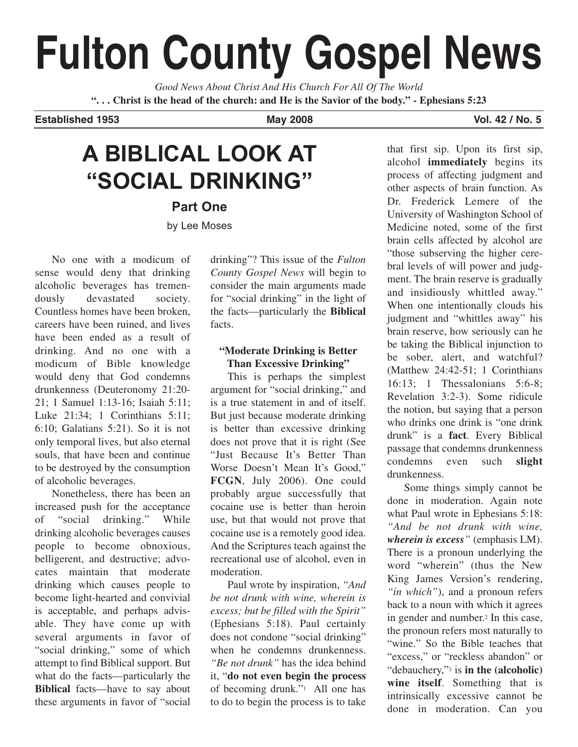# **Fulton County Gospel News**

*Good News About Christ And His Church For All Of The World* **". . . Christ is the head of the church: and He is the Savior of the body." - Ephesians 5:23**

**Established 1953 May 2008 Vol. 42 / No. 5**

## **A BIBLICAL LOOK AT "SOCIAL DRINKING"**

**Part One**

by Lee Moses

No one with a modicum of sense would deny that drinking alcoholic beverages has tremendously devastated society. Countless homes have been broken, careers have been ruined, and lives have been ended as a result of drinking. And no one with a modicum of Bible knowledge would deny that God condemns drunkenness (Deuteronomy 21:20- 21; 1 Samuel 1:13-16; Isaiah 5:11; Luke 21:34; 1 Corinthians 5:11; 6:10; Galatians 5:21). So it is not only temporal lives, but also eternal souls, that have been and continue to be destroyed by the consumption of alcoholic beverages.

Nonetheless, there has been an increased push for the acceptance of "social drinking." While drinking alcoholic beverages causes people to become obnoxious, belligerent, and destructive; advocates maintain that moderate drinking which causes people to become light-hearted and convivial is acceptable, and perhaps advisable. They have come up with several arguments in favor of "social drinking," some of which attempt to find Biblical support. But what do the facts—particularly the **Biblical** facts—have to say about these arguments in favor of "social drinking"? This issue of the *Fulton County Gospel News* will begin to consider the main arguments made for "social drinking" in the light of the facts—particularly the **Biblical** facts.

## **"Moderate Drinking is Better Than Excessive Drinking"**

This is perhaps the simplest argument for "social drinking," and is a true statement in and of itself. But just because moderate drinking is better than excessive drinking does not prove that it is right (See "Just Because It's Better Than Worse Doesn't Mean It's Good," **FCGN**, July 2006). One could probably argue successfully that cocaine use is better than heroin use, but that would not prove that cocaine use is a remotely good idea. And the Scriptures teach against the recreational use of alcohol, even in moderation.

Paul wrote by inspiration, *"And be not drunk with wine, wherein is excess; but be filled with the Spirit"* (Ephesians 5:18). Paul certainly does not condone "social drinking" when he condemns drunkenness. *"Be not drunk"* has the idea behind it, "**do not even begin the process** of becoming drunk."1 All one has to do to begin the process is to take

that first sip. Upon its first sip, alcohol **immediately** begins its process of affecting judgment and other aspects of brain function. As Dr. Frederick Lemere of the University of Washington School of Medicine noted, some of the first brain cells affected by alcohol are "those subserving the higher cerebral levels of will power and judgment. The brain reserve is gradually and insidiously whittled away." When one intentionally clouds his judgment and "whittles away" his brain reserve, how seriously can he be taking the Biblical injunction to be sober, alert, and watchful? (Matthew 24:42-51; 1 Corinthians 16:13; 1 Thessalonians 5:6-8; Revelation 3:2-3). Some ridicule the notion, but saying that a person who drinks one drink is "one drink drunk" is a **fact**. Every Biblical passage that condemns drunkenness condemns even such **slight** drunkenness.

Some things simply cannot be done in moderation. Again note what Paul wrote in Ephesians 5:18: *"And be not drunk with wine, wherein is excess"* (emphasis LM). There is a pronoun underlying the word "wherein" (thus the New King James Version's rendering, *"in which"*), and a pronoun refers back to a noun with which it agrees in gender and number.2 In this case, the pronoun refers most naturally to "wine." So the Bible teaches that "excess," or "reckless abandon" or "debauchery,"3 is **in the (alcoholic) wine itself**. Something that is intrinsically excessive cannot be done in moderation. Can you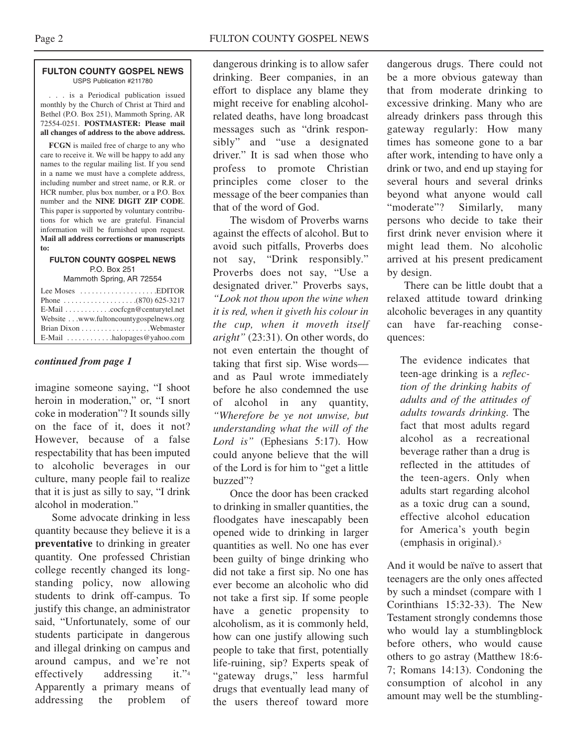#### **FULTON COUNTY GOSPEL NEWS** USPS Publication #211780

. . . is a Periodical publication issued monthly by the Church of Christ at Third and Bethel (P.O. Box 251), Mammoth Spring, AR 72554-0251. **POSTMASTER: Please mail all changes of address to the above address.**

**FCGN** is mailed free of charge to any who care to receive it. We will be happy to add any names to the regular mailing list. If you send in a name we must have a complete address, including number and street name, or R.R. or HCR number, plus box number, or a P.O. Box number and the **NINE DIGIT ZIP CODE**. This paper is supported by voluntary contributions for which we are grateful. Financial information will be furnished upon request. **Mail all address corrections or manuscripts to:**

### **FULTON COUNTY GOSPEL NEWS** P.O. Box 251

Mammoth Spring, AR 72554

| Lee Moses $\dots\dots\dots\dots\dots\dots$ . EDITOR    |
|--------------------------------------------------------|
|                                                        |
| E-Mail cocfcgn@centurytel.net                          |
| Website www.fultoncountygospelnews.org                 |
|                                                        |
| $E$ -Mail $\ldots \ldots \ldots$ halopages @ yahoo.com |

## *continued from page 1*

imagine someone saying, "I shoot heroin in moderation," or, "I snort coke in moderation"? It sounds silly on the face of it, does it not? However, because of a false respectability that has been imputed to alcoholic beverages in our culture, many people fail to realize that it is just as silly to say, "I drink alcohol in moderation."

Some advocate drinking in less quantity because they believe it is a **preventative** to drinking in greater quantity. One professed Christian college recently changed its longstanding policy, now allowing students to drink off-campus. To justify this change, an administrator said, "Unfortunately, some of our students participate in dangerous and illegal drinking on campus and around campus, and we're not effectively addressing it."4 Apparently a primary means of addressing the problem of

dangerous drinking is to allow safer drinking. Beer companies, in an effort to displace any blame they might receive for enabling alcoholrelated deaths, have long broadcast messages such as "drink responsibly" and "use a designated driver." It is sad when those who profess to promote Christian principles come closer to the message of the beer companies than that of the word of God.

The wisdom of Proverbs warns against the effects of alcohol. But to avoid such pitfalls, Proverbs does not say, "Drink responsibly." Proverbs does not say, "Use a designated driver." Proverbs says, *"Look not thou upon the wine when it is red, when it giveth his colour in the cup, when it moveth itself aright"* (23:31). On other words, do not even entertain the thought of taking that first sip. Wise words and as Paul wrote immediately before he also condemned the use of alcohol in any quantity, *"Wherefore be ye not unwise, but understanding what the will of the Lord is"* (Ephesians 5:17). How could anyone believe that the will of the Lord is for him to "get a little buzzed"?

Once the door has been cracked to drinking in smaller quantities, the floodgates have inescapably been opened wide to drinking in larger quantities as well. No one has ever been guilty of binge drinking who did not take a first sip. No one has ever become an alcoholic who did not take a first sip. If some people have a genetic propensity to alcoholism, as it is commonly held, how can one justify allowing such people to take that first, potentially life-ruining, sip? Experts speak of "gateway drugs," less harmful drugs that eventually lead many of the users thereof toward more

dangerous drugs. There could not be a more obvious gateway than that from moderate drinking to excessive drinking. Many who are already drinkers pass through this gateway regularly: How many times has someone gone to a bar after work, intending to have only a drink or two, and end up staying for several hours and several drinks beyond what anyone would call "moderate"? Similarly, many persons who decide to take their first drink never envision where it might lead them. No alcoholic arrived at his present predicament by design.

There can be little doubt that a relaxed attitude toward drinking alcoholic beverages in any quantity can have far-reaching consequences:

The evidence indicates that teen-age drinking is a *reflection of the drinking habits of adults and of the attitudes of adults towards drinking.* The fact that most adults regard alcohol as a recreational beverage rather than a drug is reflected in the attitudes of the teen-agers. Only when adults start regarding alcohol as a toxic drug can a sound, effective alcohol education for America's youth begin (emphasis in original).5

And it would be naïve to assert that teenagers are the only ones affected by such a mindset (compare with 1 Corinthians 15:32-33). The New Testament strongly condemns those who would lay a stumblingblock before others, who would cause others to go astray (Matthew 18:6- 7; Romans 14:13). Condoning the consumption of alcohol in any amount may well be the stumbling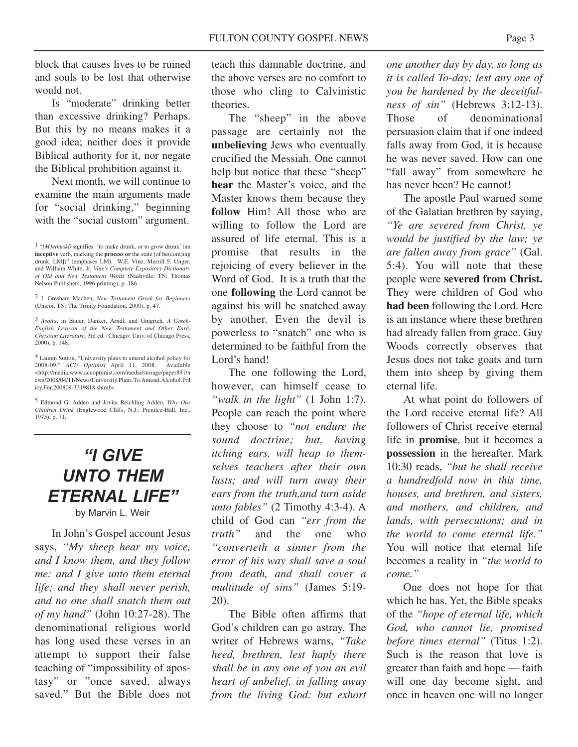block that causes lives to be ruined and souls to be lost that otherwise would not.

Is "moderate" drinking better than excessive drinking? Perhaps. But this by no means makes it a good idea; neither does it provide Biblical authority for it, nor negate the Biblical prohibition against it.

Next month, we will continue to examine the main arguments made for "social drinking," beginning with the "social custom" argument.

2 J. Gresham Machen, *New Testament Greek for Beginners* (Unicoi, TN: The Trinity Foundation, 2000), p. 47.

3 *Asotia*, in Bauer, Danker, Arndt, and Gingrich, *A Greek-English Lexicon of the New Testament and Other Early Christian Literature*, 3rd ed. (Chicago: Univ. of Chicago Press, 2000), p. 148.

4 Lauren Sutton, "University plans to amend alcohol policy for 2008-09," *ACU Optimist* April 11, 2008. Available <http://media.www.acuoptimist.com/media/storage/paper891/n ews/2008/04/11/News/University.Plans.To.Amend.Alcohol.Pol icy.For.200809-3319818.shtml>.

5 Edmond G. Addeo and Jovita Reichling Addeo, *Why Our Children Drink* (Englewood Cliffs, N.J.: Prentice-Hall, Inc., 1975), p. 71.

## *"I GIVE UNTO THEM ETERNAL LIFE"* by Marvin L. Weir

In John's Gospel account Jesus says, *"My sheep hear my voice, and I know them, and they follow me: and I give unto them eternal life; and they shall never perish, and no one shall snatch them out of my hand"* (John 10:27-28). The denominational religious world has long used these verses in an attempt to support their false teaching of "impossibility of apostasy" or "once saved, always saved." But the Bible does not

teach this damnable doctrine, and the above verses are no comfort to those who cling to Calvinistic theories.

The "sheep" in the above passage are certainly not the **unbelieving** Jews who eventually crucified the Messiah. One cannot help but notice that these "sheep" **hear** the Master's voice, and the Master knows them because they **follow** Him! All those who are willing to follow the Lord are assured of life eternal. This is a promise that results in the rejoicing of every believer in the Word of God. It is a truth that the one **following** the Lord cannot be against his will be snatched away by another. Even the devil is powerless to "snatch" one who is determined to be faithful from the Lord's hand!

The one following the Lord, however, can himself cease to *"walk in the light"* (1 John 1:7). People can reach the point where they choose to *"not endure the sound doctrine; but, having itching ears, will heap to themselves teachers after their own lusts; and will turn away their ears from the truth,and turn aside unto fables"* (2 Timothy 4:3-4). A child of God can *"err from the truth*" and the one who *"converteth a sinner from the error of his way shall save a soul from death, and shall cover a multitude of sins"* (James 5:19- 20).

The Bible often affirms that God's children can go astray. The writer of Hebrews warns, *"Take heed, brethren, lest haply there shall be in any one of you an evil heart of unbelief, in falling away from the living God: but exhort*

*one another day by day, so long as it is called To-day; lest any one of you be hardened by the deceitfulness of sin"* (Hebrews 3:12-13). Those of denominational persuasion claim that if one indeed falls away from God, it is because he was never saved. How can one "fall away" from somewhere he has never been? He cannot!

The apostle Paul warned some of the Galatian brethren by saying, *"Ye are severed from Christ, ye would be justified by the law; ye are fallen away from grace"* (Gal. 5:4). You will note that these people were **severed from Christ.** They were children of God who **had been** following the Lord. Here is an instance where these brethren had already fallen from grace. Guy Woods correctly observes that Jesus does not take goats and turn them into sheep by giving them eternal life.

At what point do followers of the Lord receive eternal life? All followers of Christ receive eternal life in **promise**, but it becomes a **possession** in the hereafter. Mark 10:30 reads, *"but he shall receive a hundredfold now in this time, houses, and brethren, and sisters, and mothers, and children, and lands, with persecutions; and in the world to come eternal life."* You will notice that eternal life becomes a reality in *"the world to come."*

One does not hope for that which he has. Yet, the Bible speaks of the *"hope of eternal life, which God, who cannot lie, promised before times eternal"* (Titus 1:2). Such is the reason that love is greater than faith and hope — faith will one day become sight, and once in heaven one will no longer

<sup>1</sup> "*[M]ethusko* signifies 'to make drunk, or to grow drunk' (an **inceptive** verb, marking the **process or** the state [of be(com)ing drunk, LM])" (emphases LM). W.E. Vine, Merrill F. Unger, and William White, Jr. *Vine's Complete Expository Dictionary of Old and New Testament Words* (Nashville, TN: Thomas Nelson Publishers, 1996 printing), p. 186.